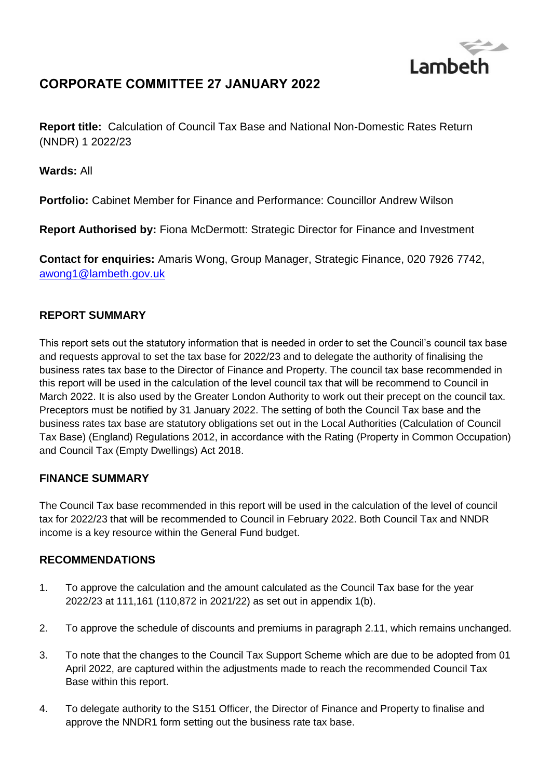

# **CORPORATE COMMITTEE 27 JANUARY 2022**

**Report title:** Calculation of Council Tax Base and National Non-Domestic Rates Return (NNDR) 1 2022/23

**Wards:** All

**Portfolio:** Cabinet Member for Finance and Performance: Councillor Andrew Wilson

**Report Authorised by:** Fiona McDermott: Strategic Director for Finance and Investment

**Contact for enquiries:** Amaris Wong, Group Manager, Strategic Finance, 020 7926 7742, [awong1@lambeth.gov.uk](mailto:awong1@lambeth.gov.uk)

### **REPORT SUMMARY**

This report sets out the statutory information that is needed in order to set the Council's council tax base and requests approval to set the tax base for 2022/23 and to delegate the authority of finalising the business rates tax base to the Director of Finance and Property. The council tax base recommended in this report will be used in the calculation of the level council tax that will be recommend to Council in March 2022. It is also used by the Greater London Authority to work out their precept on the council tax. Preceptors must be notified by 31 January 2022. The setting of both the Council Tax base and the business rates tax base are statutory obligations set out in the Local Authorities (Calculation of Council Tax Base) (England) Regulations 2012, in accordance with the Rating (Property in Common Occupation) and Council Tax (Empty Dwellings) Act 2018.

### **FINANCE SUMMARY**

The Council Tax base recommended in this report will be used in the calculation of the level of council tax for 2022/23 that will be recommended to Council in February 2022. Both Council Tax and NNDR income is a key resource within the General Fund budget.

### **RECOMMENDATIONS**

- 1. To approve the calculation and the amount calculated as the Council Tax base for the year 2022/23 at 111,161 (110,872 in 2021/22) as set out in appendix 1(b).
- 2. To approve the schedule of discounts and premiums in paragraph 2.11, which remains unchanged.
- 3. To note that the changes to the Council Tax Support Scheme which are due to be adopted from 01 April 2022, are captured within the adjustments made to reach the recommended Council Tax Base within this report.
- 4. To delegate authority to the S151 Officer, the Director of Finance and Property to finalise and approve the NNDR1 form setting out the business rate tax base.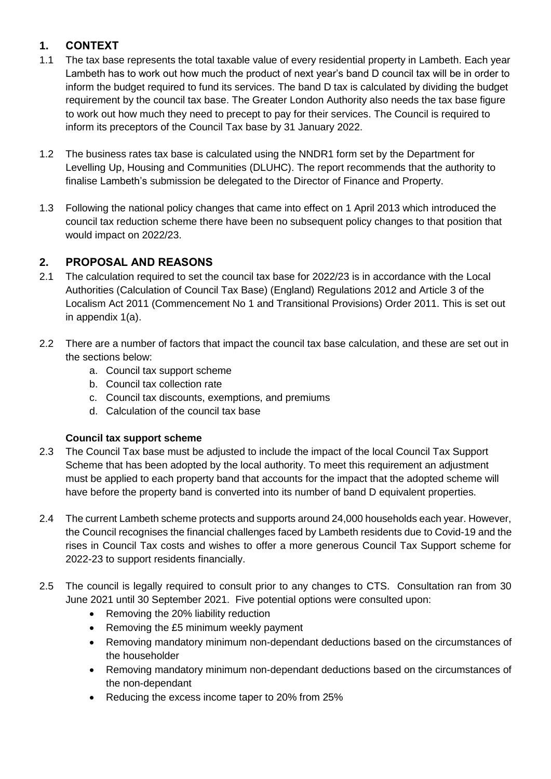# **1. CONTEXT**

- 1.1 The tax base represents the total taxable value of every residential property in Lambeth. Each year Lambeth has to work out how much the product of next year's band D council tax will be in order to inform the budget required to fund its services. The band D tax is calculated by dividing the budget requirement by the council tax base. The Greater London Authority also needs the tax base figure to work out how much they need to precept to pay for their services. The Council is required to inform its preceptors of the Council Tax base by 31 January 2022.
- 1.2 The business rates tax base is calculated using the NNDR1 form set by the Department for Levelling Up, Housing and Communities (DLUHC). The report recommends that the authority to finalise Lambeth's submission be delegated to the Director of Finance and Property.
- 1.3 Following the national policy changes that came into effect on 1 April 2013 which introduced the council tax reduction scheme there have been no subsequent policy changes to that position that would impact on 2022/23.

# **2. PROPOSAL AND REASONS**

- 2.1 The calculation required to set the council tax base for 2022/23 is in accordance with the Local Authorities (Calculation of Council Tax Base) (England) Regulations 2012 and Article 3 of the Localism Act 2011 (Commencement No 1 and Transitional Provisions) Order 2011. This is set out in appendix 1(a).
- 2.2 There are a number of factors that impact the council tax base calculation, and these are set out in the sections below:
	- a. Council tax support scheme
	- b. Council tax collection rate
	- c. Council tax discounts, exemptions, and premiums
	- d. Calculation of the council tax base

### **Council tax support scheme**

- 2.3 The Council Tax base must be adjusted to include the impact of the local Council Tax Support Scheme that has been adopted by the local authority. To meet this requirement an adjustment must be applied to each property band that accounts for the impact that the adopted scheme will have before the property band is converted into its number of band D equivalent properties.
- 2.4 The current Lambeth scheme protects and supports around 24,000 households each year. However, the Council recognises the financial challenges faced by Lambeth residents due to Covid-19 and the rises in Council Tax costs and wishes to offer a more generous Council Tax Support scheme for 2022-23 to support residents financially.
- 2.5 The council is legally required to consult prior to any changes to CTS. Consultation ran from 30 June 2021 until 30 September 2021. Five potential options were consulted upon:
	- Removing the 20% liability reduction
	- Removing the £5 minimum weekly payment
	- Removing mandatory minimum non-dependant deductions based on the circumstances of the householder
	- Removing mandatory minimum non-dependant deductions based on the circumstances of the non-dependant
	- Reducing the excess income taper to 20% from 25%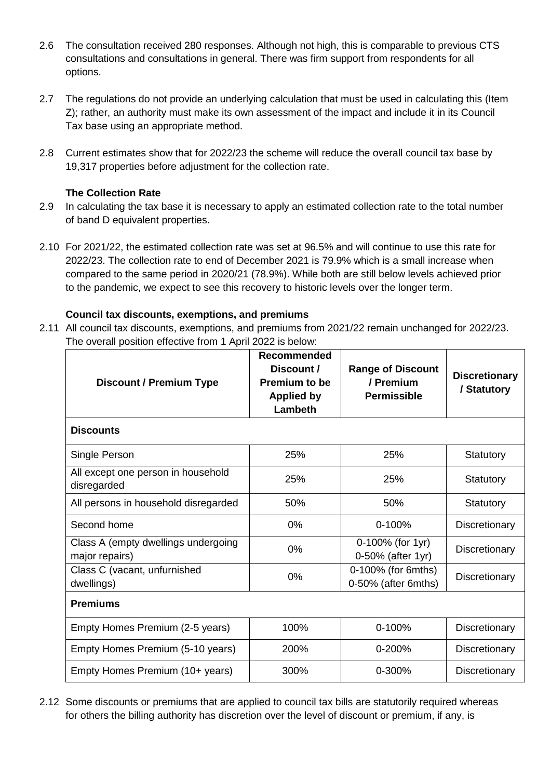- 2.6 The consultation received 280 responses. Although not high, this is comparable to previous CTS consultations and consultations in general. There was firm support from respondents for all options.
- 2.7 The regulations do not provide an underlying calculation that must be used in calculating this (Item Z); rather, an authority must make its own assessment of the impact and include it in its Council Tax base using an appropriate method.
- 2.8 Current estimates show that for 2022/23 the scheme will reduce the overall council tax base by 19,317 properties before adjustment for the collection rate.

### **The Collection Rate**

- 2.9 In calculating the tax base it is necessary to apply an estimated collection rate to the total number of band D equivalent properties.
- 2.10 For 2021/22, the estimated collection rate was set at 96.5% and will continue to use this rate for 2022/23. The collection rate to end of December 2021 is 79.9% which is a small increase when compared to the same period in 2020/21 (78.9%). While both are still below levels achieved prior to the pandemic, we expect to see this recovery to historic levels over the longer term.

### **Council tax discounts, exemptions, and premiums**

2.11 All council tax discounts, exemptions, and premiums from 2021/22 remain unchanged for 2022/23. The overall position effective from 1 April 2022 is below:

| <b>Discount / Premium Type</b>                        | <b>Recommended</b><br>Discount /<br><b>Premium to be</b><br><b>Applied by</b><br>Lambeth | <b>Range of Discount</b><br>/ Premium<br><b>Permissible</b> | <b>Discretionary</b><br>/ Statutory |
|-------------------------------------------------------|------------------------------------------------------------------------------------------|-------------------------------------------------------------|-------------------------------------|
| <b>Discounts</b>                                      |                                                                                          |                                                             |                                     |
| Single Person                                         | 25%                                                                                      | 25%                                                         | Statutory                           |
| All except one person in household<br>disregarded     | 25%                                                                                      | 25%                                                         | <b>Statutory</b>                    |
| All persons in household disregarded                  | 50%                                                                                      | 50%                                                         | Statutory                           |
| Second home                                           | 0%                                                                                       | $0 - 100%$                                                  | Discretionary                       |
| Class A (empty dwellings undergoing<br>major repairs) | 0%                                                                                       | 0-100% (for 1yr)<br>0-50% (after 1yr)                       | Discretionary                       |
| Class C (vacant, unfurnished<br>dwellings)            | 0%                                                                                       | 0-100% (for 6mths)<br>0-50% (after 6mths)                   | Discretionary                       |
| <b>Premiums</b>                                       |                                                                                          |                                                             |                                     |
| Empty Homes Premium (2-5 years)                       | 100%                                                                                     | 0-100%                                                      | Discretionary                       |
| Empty Homes Premium (5-10 years)                      | 200%                                                                                     | $0 - 200%$                                                  | Discretionary                       |
| Empty Homes Premium (10+ years)                       | 300%                                                                                     | 0-300%                                                      | Discretionary                       |

2.12 Some discounts or premiums that are applied to council tax bills are statutorily required whereas for others the billing authority has discretion over the level of discount or premium, if any, is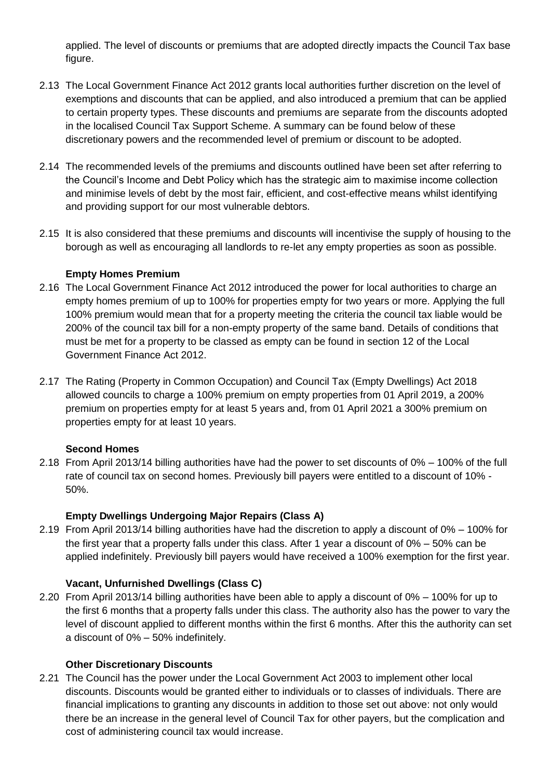applied. The level of discounts or premiums that are adopted directly impacts the Council Tax base figure.

- 2.13 The Local Government Finance Act 2012 grants local authorities further discretion on the level of exemptions and discounts that can be applied, and also introduced a premium that can be applied to certain property types. These discounts and premiums are separate from the discounts adopted in the localised Council Tax Support Scheme. A summary can be found below of these discretionary powers and the recommended level of premium or discount to be adopted.
- 2.14 The recommended levels of the premiums and discounts outlined have been set after referring to the Council's Income and Debt Policy which has the strategic aim to maximise income collection and minimise levels of debt by the most fair, efficient, and cost-effective means whilst identifying and providing support for our most vulnerable debtors.
- 2.15 It is also considered that these premiums and discounts will incentivise the supply of housing to the borough as well as encouraging all landlords to re-let any empty properties as soon as possible.

### **Empty Homes Premium**

- 2.16 The Local Government Finance Act 2012 introduced the power for local authorities to charge an empty homes premium of up to 100% for properties empty for two years or more. Applying the full 100% premium would mean that for a property meeting the criteria the council tax liable would be 200% of the council tax bill for a non-empty property of the same band. Details of conditions that must be met for a property to be classed as empty can be found in section 12 of the Local Government Finance Act 2012.
- 2.17 The Rating (Property in Common Occupation) and Council Tax (Empty Dwellings) Act 2018 allowed councils to charge a 100% premium on empty properties from 01 April 2019, a 200% premium on properties empty for at least 5 years and, from 01 April 2021 a 300% premium on properties empty for at least 10 years.

#### **Second Homes**

2.18 From April 2013/14 billing authorities have had the power to set discounts of 0% – 100% of the full rate of council tax on second homes. Previously bill payers were entitled to a discount of 10% - 50%.

### **Empty Dwellings Undergoing Major Repairs (Class A)**

2.19 From April 2013/14 billing authorities have had the discretion to apply a discount of 0% – 100% for the first year that a property falls under this class. After 1 year a discount of 0% – 50% can be applied indefinitely. Previously bill payers would have received a 100% exemption for the first year.

### **Vacant, Unfurnished Dwellings (Class C)**

2.20 From April 2013/14 billing authorities have been able to apply a discount of 0% – 100% for up to the first 6 months that a property falls under this class. The authority also has the power to vary the level of discount applied to different months within the first 6 months. After this the authority can set a discount of 0% – 50% indefinitely.

#### **Other Discretionary Discounts**

2.21 The Council has the power under the Local Government Act 2003 to implement other local discounts. Discounts would be granted either to individuals or to classes of individuals. There are financial implications to granting any discounts in addition to those set out above: not only would there be an increase in the general level of Council Tax for other payers, but the complication and cost of administering council tax would increase.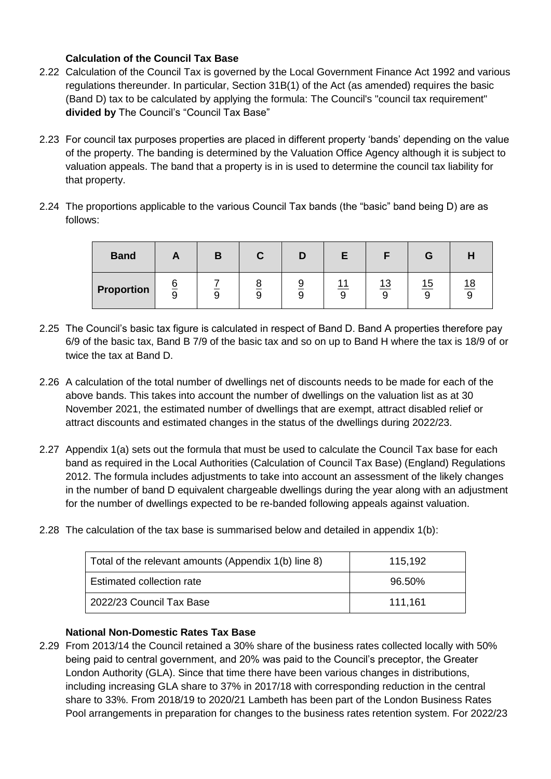### **Calculation of the Council Tax Base**

- 2.22 Calculation of the Council Tax is governed by the Local Government Finance Act 1992 and various regulations thereunder. In particular, Section 31B(1) of the Act (as amended) requires the basic (Band D) tax to be calculated by applying the formula: The Council's "council tax requirement" **divided by** The Council's "Council Tax Base"
- 2.23 For council tax purposes properties are placed in different property 'bands' depending on the value of the property. The banding is determined by the Valuation Office Agency although it is subject to valuation appeals. The band that a property is in is used to determine the council tax liability for that property.
- 2.24 The proportions applicable to the various Council Tax bands (the "basic" band being D) are as follows:

| <b>Band</b> | гJ.                                  | D | u |   |   |                               |    |
|-------------|--------------------------------------|---|---|---|---|-------------------------------|----|
| Proportion  | $\overline{\sigma}$<br>$\Omega$<br>ີ |   |   | ັ | ◡ | $4^\circ$<br>יי<br>$\sqrt{2}$ | 1۶ |

- 2.25 The Council's basic tax figure is calculated in respect of Band D. Band A properties therefore pay 6/9 of the basic tax, Band B 7/9 of the basic tax and so on up to Band H where the tax is 18/9 of or twice the tax at Band D.
- 2.26 A calculation of the total number of dwellings net of discounts needs to be made for each of the above bands. This takes into account the number of dwellings on the valuation list as at 30 November 2021, the estimated number of dwellings that are exempt, attract disabled relief or attract discounts and estimated changes in the status of the dwellings during 2022/23.
- 2.27 Appendix 1(a) sets out the formula that must be used to calculate the Council Tax base for each band as required in the Local Authorities (Calculation of Council Tax Base) (England) Regulations 2012. The formula includes adjustments to take into account an assessment of the likely changes in the number of band D equivalent chargeable dwellings during the year along with an adjustment for the number of dwellings expected to be re-banded following appeals against valuation.
- 2.28 The calculation of the tax base is summarised below and detailed in appendix 1(b):

| Total of the relevant amounts (Appendix 1(b) line 8) | 115,192 |
|------------------------------------------------------|---------|
| Estimated collection rate                            | 96.50%  |
| 2022/23 Council Tax Base                             | 111.161 |

### **National Non-Domestic Rates Tax Base**

2.29 From 2013/14 the Council retained a 30% share of the business rates collected locally with 50% being paid to central government, and 20% was paid to the Council's preceptor, the Greater London Authority (GLA). Since that time there have been various changes in distributions, including increasing GLA share to 37% in 2017/18 with corresponding reduction in the central share to 33%. From 2018/19 to 2020/21 Lambeth has been part of the London Business Rates Pool arrangements in preparation for changes to the business rates retention system. For 2022/23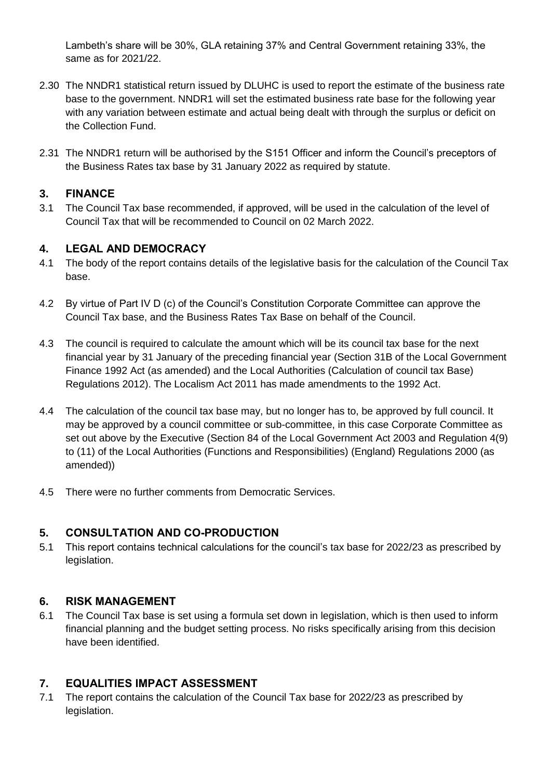Lambeth's share will be 30%, GLA retaining 37% and Central Government retaining 33%, the same as for 2021/22.

- 2.30 The NNDR1 statistical return issued by DLUHC is used to report the estimate of the business rate base to the government. NNDR1 will set the estimated business rate base for the following year with any variation between estimate and actual being dealt with through the surplus or deficit on the Collection Fund.
- 2.31 The NNDR1 return will be authorised by the S151 Officer and inform the Council's preceptors of the Business Rates tax base by 31 January 2022 as required by statute.

### **3. FINANCE**

3.1 The Council Tax base recommended, if approved, will be used in the calculation of the level of Council Tax that will be recommended to Council on 02 March 2022.

### **4. LEGAL AND DEMOCRACY**

- 4.1 The body of the report contains details of the legislative basis for the calculation of the Council Tax base.
- 4.2 By virtue of Part IV D (c) of the Council's Constitution Corporate Committee can approve the Council Tax base, and the Business Rates Tax Base on behalf of the Council.
- 4.3 The council is required to calculate the amount which will be its council tax base for the next financial year by 31 January of the preceding financial year (Section 31B of the Local Government Finance 1992 Act (as amended) and the Local Authorities (Calculation of council tax Base) Regulations 2012). The Localism Act 2011 has made amendments to the 1992 Act.
- 4.4 The calculation of the council tax base may, but no longer has to, be approved by full council. It may be approved by a council committee or sub-committee, in this case Corporate Committee as set out above by the Executive (Section 84 of the Local Government Act 2003 and Regulation 4(9) to (11) of the Local Authorities (Functions and Responsibilities) (England) Regulations 2000 (as amended))
- 4.5 There were no further comments from Democratic Services.

# **5. CONSULTATION AND CO-PRODUCTION**

5.1 This report contains technical calculations for the council's tax base for 2022/23 as prescribed by legislation.

### **6. RISK MANAGEMENT**

6.1 The Council Tax base is set using a formula set down in legislation, which is then used to inform financial planning and the budget setting process. No risks specifically arising from this decision have been identified.

# **7. EQUALITIES IMPACT ASSESSMENT**

7.1 The report contains the calculation of the Council Tax base for 2022/23 as prescribed by legislation.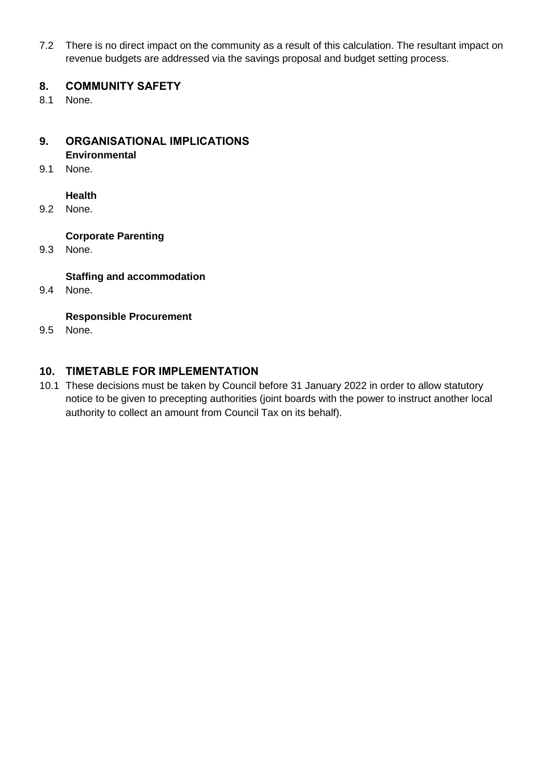7.2 There is no direct impact on the community as a result of this calculation. The resultant impact on revenue budgets are addressed via the savings proposal and budget setting process.

### **8. COMMUNITY SAFETY**

8.1 None.

### **9. ORGANISATIONAL IMPLICATIONS Environmental**

9.1 None.

### **Health**

9.2 None.

### **Corporate Parenting**

9.3 None.

### **Staffing and accommodation**

9.4 None.

### **Responsible Procurement**

9.5 None.

### **10. TIMETABLE FOR IMPLEMENTATION**

10.1 These decisions must be taken by Council before 31 January 2022 in order to allow statutory notice to be given to precepting authorities (joint boards with the power to instruct another local authority to collect an amount from Council Tax on its behalf).